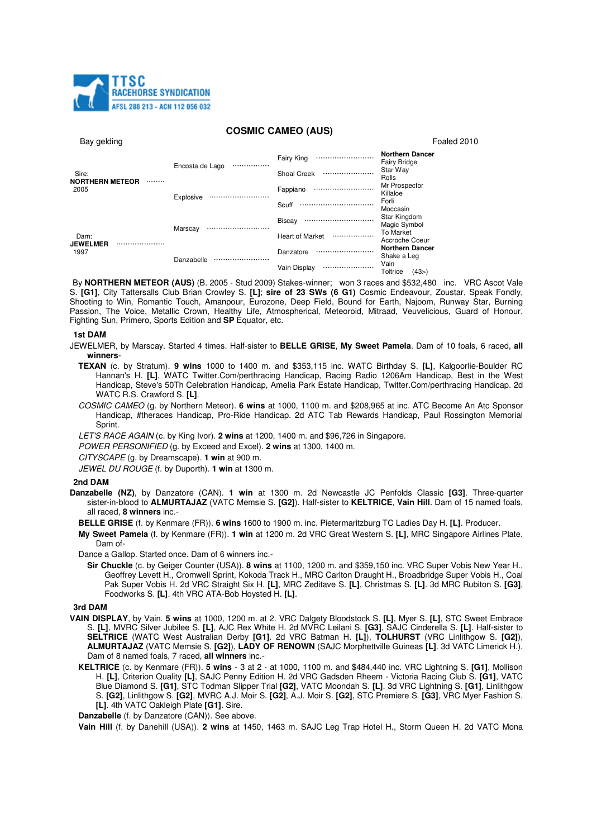

# **COSMIC CAMEO (AUS)**

| Bay gelding                                 |                     |                            | Foaled 2010                                   |
|---------------------------------------------|---------------------|----------------------------|-----------------------------------------------|
| Sire:<br><b>NORTHERN METEOR</b><br><br>2005 | Encosta de Lago<br> | <b>Fairy King</b><br>      | <b>Northern Dancer</b><br><b>Fairy Bridge</b> |
|                                             |                     | Shoal Creek<br>            | Star Way<br>Rolls                             |
|                                             | Explosive           | Fappiano<br>               | Mr Prospector<br>Killaloe                     |
|                                             |                     | Scuff<br>                  | Forli<br>Moccasin                             |
| Dam:<br><b>JEWELMER</b><br><br>1997         | Marscay             | Biscay<br>                 | Star Kingdom<br>Magic Symbol                  |
|                                             |                     | <b>Heart of Market</b><br> | To Market<br>Accroche Coeur                   |
|                                             | Danzabelle<br>      | Danzatore<br>              | <b>Northern Dancer</b><br>Shake a Leg         |
|                                             |                     | Vain Display<br>           | Vain<br>Toltrice<br>(43>)                     |

By **NORTHERN METEOR (AUS)** (B. 2005 - Stud 2009) Stakes-winner; won 3 races and \$532,480 inc. VRC Ascot Vale S. **[G1]**, City Tattersalls Club Brian Crowley S. **[L]**; **sire of 23 SWs (6 G1)** Cosmic Endeavour, Zoustar, Speak Fondly, Shooting to Win, Romantic Touch, Amanpour, Eurozone, Deep Field, Bound for Earth, Najoom, Runway Star, Burning Passion, The Voice, Metallic Crown, Healthy Life, Atmospherical, Meteoroid, Mitraad, Veuvelicious, Guard of Honour, Fighting Sun, Primero, Sports Edition and **SP** Equator, etc.

### **1st DAM**

- JEWELMER, by Marscay. Started 4 times. Half-sister to **BELLE GRISE**, **My Sweet Pamela**. Dam of 10 foals, 6 raced, **all winners**-
	- **TEXAN** (c. by Stratum). **9 wins** 1000 to 1400 m. and \$353,115 inc. WATC Birthday S. **[L]**, Kalgoorlie-Boulder RC Hannan's H. **[L]**, WATC Twitter.Com/perthracing Handicap, Racing Radio 1206Am Handicap, Best in the West Handicap, Steve's 50Th Celebration Handicap, Amelia Park Estate Handicap, Twitter.Com/perthracing Handicap. 2d WATC R.S. Crawford S. **[L]**.
	- COSMIC CAMEO (g. by Northern Meteor). **6 wins** at 1000, 1100 m. and \$208,965 at inc. ATC Become An Atc Sponsor Handicap, #theraces Handicap, Pro-Ride Handicap. 2d ATC Tab Rewards Handicap, Paul Rossington Memorial Sprint.
	- LET'S RACE AGAIN (c. by King Ivor). **2 wins** at 1200, 1400 m. and \$96,726 in Singapore.
	- POWER PERSONIFIED (g. by Exceed and Excel). **2 wins** at 1300, 1400 m.
	- CITYSCAPE (g. by Dreamscape). **1 win** at 900 m.

JEWEL DU ROUGE (f. by Duporth). **1 win** at 1300 m.

#### **2nd DAM**

**Danzabelle (NZ)**, by Danzatore (CAN). **1 win** at 1300 m. 2d Newcastle JC Penfolds Classic **[G3]**. Three-quarter sister-in-blood to **ALMURTAJAZ** (VATC Memsie S. **[G2]**). Half-sister to **KELTRICE**, **Vain Hill**. Dam of 15 named foals, all raced, **8 winners** inc.-

**BELLE GRISE** (f. by Kenmare (FR)). **6 wins** 1600 to 1900 m. inc. Pietermaritzburg TC Ladies Day H. **[L]**. Producer.

**My Sweet Pamela** (f. by Kenmare (FR)). **1 win** at 1200 m. 2d VRC Great Western S. **[L]**, MRC Singapore Airlines Plate. Dam of-

Dance a Gallop. Started once. Dam of 6 winners inc.-

**Sir Chuckle** (c. by Geiger Counter (USA)). **8 wins** at 1100, 1200 m. and \$359,150 inc. VRC Super Vobis New Year H., Geoffrey Levett H., Cromwell Sprint, Kokoda Track H., MRC Carlton Draught H., Broadbridge Super Vobis H., Coal Pak Super Vobis H. 2d VRC Straight Six H. **[L]**, MRC Zeditave S. **[L]**, Christmas S. **[L]**. 3d MRC Rubiton S. **[G3]**, Foodworks S. **[L]**. 4th VRC ATA-Bob Hoysted H. **[L]**.

# **3rd DAM**

- **VAIN DISPLAY**, by Vain. **5 wins** at 1000, 1200 m. at 2. VRC Dalgety Bloodstock S. **[L]**, Myer S. **[L]**, STC Sweet Embrace S. **[L]**, MVRC Silver Jubilee S. **[L]**, AJC Rex White H. 2d MVRC Leilani S. **[G3]**, SAJC Cinderella S. **[L]**. Half-sister to **SELTRICE** (WATC West Australian Derby **[G1]**. 2d VRC Batman H. **[L]**), **TOLHURST** (VRC Linlithgow S. **[G2]**), **ALMURTAJAZ** (VATC Memsie S. **[G2]**), **LADY OF RENOWN** (SAJC Morphettville Guineas **[L]**. 3d VATC Limerick H.). Dam of 8 named foals, 7 raced, **all winners** inc.-
	- **KELTRICE** (c. by Kenmare (FR)). **5 wins**  3 at 2 at 1000, 1100 m. and \$484,440 inc. VRC Lightning S. **[G1]**, Mollison H. **[L]**, Criterion Quality **[L]**, SAJC Penny Edition H. 2d VRC Gadsden Rheem - Victoria Racing Club S. **[G1]**, VATC Blue Diamond S. **[G1]**, STC Todman Slipper Trial **[G2]**, VATC Moondah S. **[L]**. 3d VRC Lightning S. **[G1]**, Linlithgow S. **[G2]**, Linlithgow S. **[G2]**, MVRC A.J. Moir S. **[G2]**, A.J. Moir S. **[G2]**, STC Premiere S. **[G3]**, VRC Myer Fashion S. **[L]**. 4th VATC Oakleigh Plate **[G1]**. Sire.

**Danzabelle** (f. by Danzatore (CAN)). See above.

**Vain Hill** (f. by Danehill (USA)). **2 wins** at 1450, 1463 m. SAJC Leg Trap Hotel H., Storm Queen H. 2d VATC Mona